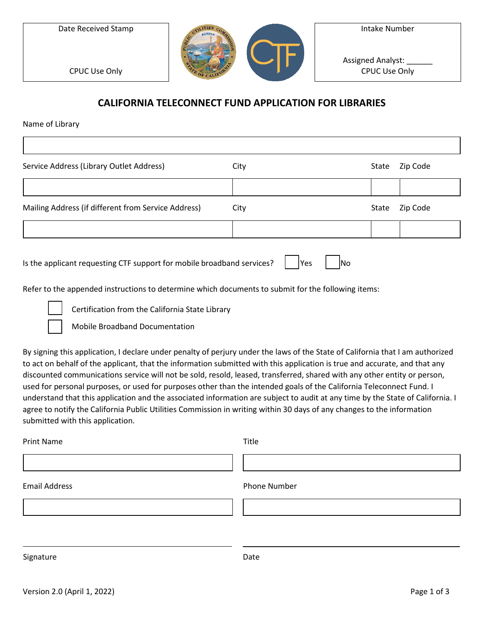Date Received Stamp



Intake Number

Assigned Analyst: CPUC Use Only

CPUC Use Only

## **CALIFORNIA TELECONNECT FUND APPLICATION FOR LIBRARIES**

Name of Library

| Service Address (Library Outlet Address)            | City | State | Zip Code |
|-----------------------------------------------------|------|-------|----------|
|                                                     |      |       |          |
| Mailing Address (if different from Service Address) | City | State | Zip Code |
|                                                     |      |       |          |

Refer to the appended instructions to determine which documents to submit for the following items:

☐ Certification from the California State Library

☐ Mobile Broadband Documentation

By signing this application, I declare under penalty of perjury under the laws of the State of California that I am authorized to act on behalf of the applicant, that the information submitted with this application is true and accurate, and that any discounted communications service will not be sold, resold, leased, transferred, shared with any other entity or person, used for personal purposes, or used for purposes other than the intended goals of the California Teleconnect Fund. I understand that this application and the associated information are subject to audit at any time by the State of California. I agree to notify the California Public Utilities Commission in writing within 30 days of any changes to the information submitted with this application.

| <b>Print Name</b>    | Title        |
|----------------------|--------------|
|                      |              |
| <b>Email Address</b> | Phone Number |
|                      |              |
|                      |              |
| Signature            | Date         |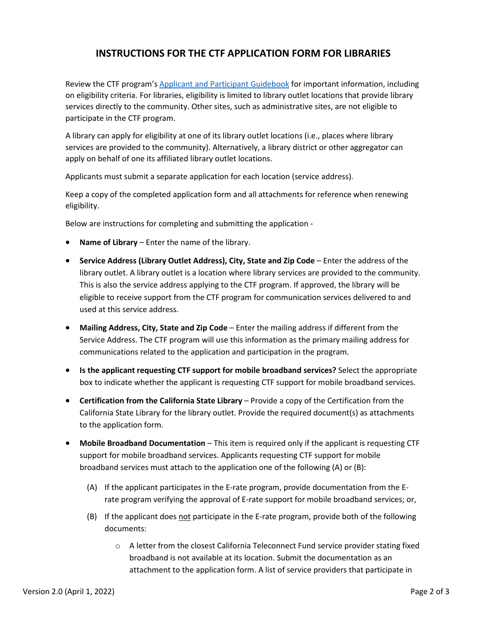## **INSTRUCTIONS FOR THE CTF APPLICATION FORM FOR LIBRARIES**

Review the CTF program's [Applicant and Participant Guidebook](https://www.cpuc.ca.gov/-/media/cpuc-website/divisions/communications-division/documents/california-teleconnect-fund/ctf_applicant_and_participant_guidebook.pdf) for important information, including on eligibility criteria. For libraries, eligibility is limited to library outlet locations that provide library services directly to the community. Other sites, such as administrative sites, are not eligible to participate in the CTF program.

A library can apply for eligibility at one of its library outlet locations (i.e., places where library services are provided to the community). Alternatively, a library district or other aggregator can apply on behalf of one its affiliated library outlet locations.

Applicants must submit a separate application for each location (service address).

Keep a copy of the completed application form and all attachments for reference when renewing eligibility.

Below are instructions for completing and submitting the application -

- **Name of Library** Enter the name of the library.
- **Service Address (Library Outlet Address), City, State and Zip Code** Enter the address of the library outlet. A library outlet is a location where library services are provided to the community. This is also the service address applying to the CTF program. If approved, the library will be eligible to receive support from the CTF program for communication services delivered to and used at this service address.
- **Mailing Address, City, State and Zip Code** Enter the mailing address if different from the Service Address. The CTF program will use this information as the primary mailing address for communications related to the application and participation in the program.
- **Is the applicant requesting CTF support for mobile broadband services?** Select the appropriate box to indicate whether the applicant is requesting CTF support for mobile broadband services.
- **Certification from the California State Library**  Provide a copy of the Certification from the California State Library for the library outlet. Provide the required document(s) as attachments to the application form.
- **Mobile Broadband Documentation** This item is required only if the applicant is requesting CTF support for mobile broadband services. Applicants requesting CTF support for mobile broadband services must attach to the application one of the following (A) or (B):
	- (A) If the applicant participates in the E-rate program, provide documentation from the Erate program verifying the approval of E-rate support for mobile broadband services; or,
	- (B) If the applicant does not participate in the E-rate program, provide both of the following documents:
		- $\circ$  A letter from the closest California Teleconnect Fund service provider stating fixed broadband is not available at its location. Submit the documentation as an attachment to the application form. A list of service providers that participate in